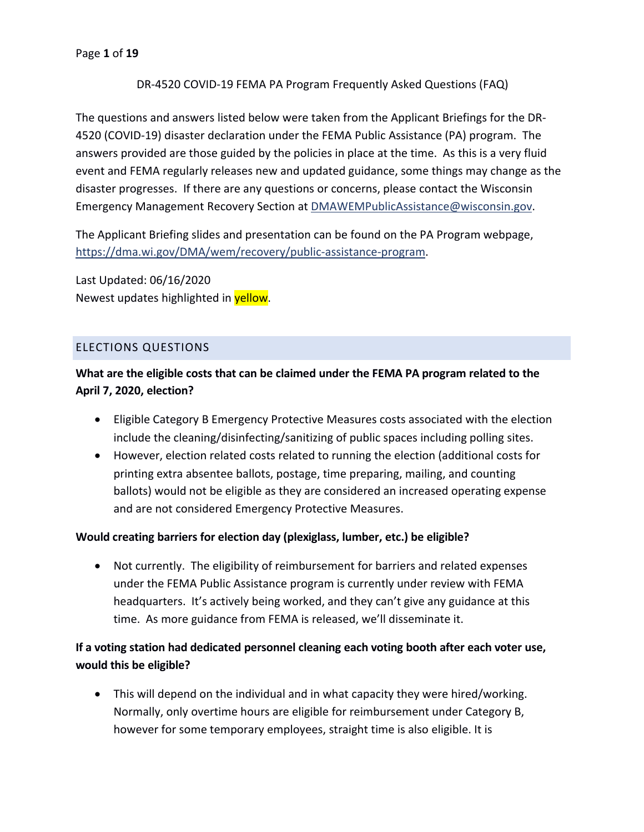The questions and answers listed below were taken from the Applicant Briefings for the DR- 4520 (COVID-19) disaster declaration under the FEMA Public Assistance (PA) program. The answers provided are those guided by the policies in place at the time. As this is a very fluid event and FEMA regularly releases new and updated guidance, some things may change as the disaster progresses. If there are any questions or concerns, please contact the Wisconsin Emergency Management Recovery Section at [DMAWEMPublicAssistance@wisconsin.gov](mailto:DMAWEMPublicAssistance@wisconsin.gov).

The Applicant Briefing slides and presentation can be found on the PA Program webpage, [https://dma.wi.gov/DMA/wem/recovery/public-assistance-program.](https://dma.wi.gov/DMA/wem/recovery/public-assistance-program)

Last Updated: 06/16/2020 Newest updates highlighted in yellow.

## ELECTIONS QUESTIONS

## **What are the eligible costs that can be claimed under the FEMA PA program related to the April 7, 2020, election?**

- Eligible Category B Emergency Protective Measures costs associated with the election include the cleaning/disinfecting/sanitizing of public spaces including polling sites.
- However, election related costs related to running the election (additional costs for printing extra absentee ballots, postage, time preparing, mailing, and counting ballots) would not be eligible as they are considered an increased operating expense and are not considered Emergency Protective Measures.

## **Would creating barriers for election day (plexiglass, lumber, etc.) be eligible?**

 Not currently. The eligibility of reimbursement for barriers and related expenses under the FEMA Public Assistance program is currently under review with FEMA headquarters. It's actively being worked, and they can'tgive any guidance at this time. As more guidance from FEMA is released, we'll disseminate it.

## **If a voting station had dedicated personnel cleaning each voting booth after each voter use, would this be eligible?**

 This will depend on the individual and in what capacity they were hired/working. Normally, only overtime hours are eligible for reimbursement under Category B, however for some temporary employees, straight time is also eligible. It is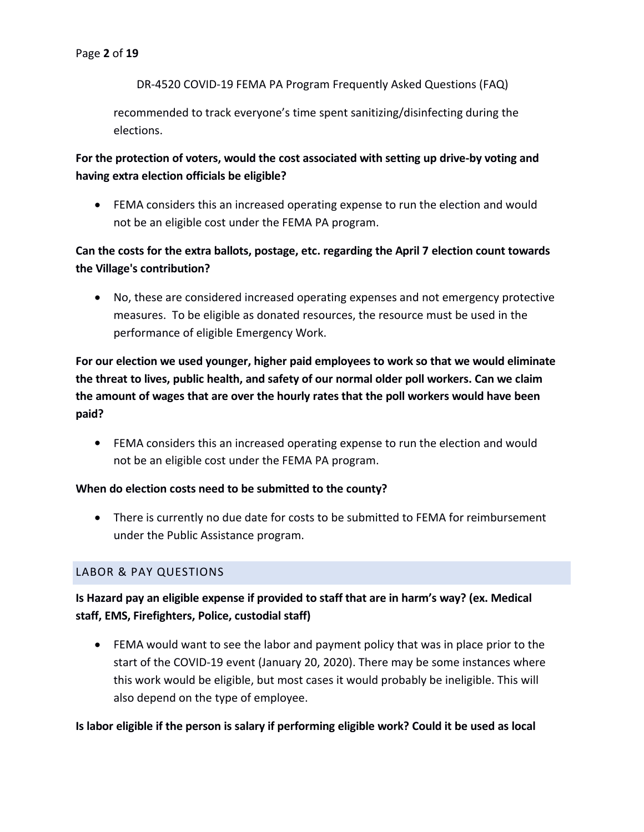recommended to track everyone's time spent sanitizing/disinfecting during the elections.

## **For the protection of voters, would the cost associated with setting up drive-by voting and having extra election officials be eligible?**

 FEMA considers this an increased operating expense to run the election and would not be an eligible cost under the FEMA PA program.

## **Can the costs for the extra ballots, postage, etc. regarding the April 7 election count towards the Village's contribution?**

 No, these are considered increased operating expenses and not emergency protective measures. To be eligible as donated resources, the resource must be used in the performance of eligible Emergency Work.

**For our election we used younger, higher paid employees to work so that we would eliminate the threat to lives, public health, and safety of our normal older poll workers. Can we claim the amount of wages that are over the hourly rates that the poll workers would have been paid?**

 FEMA considers this an increased operating expense to run the election and would not be an eligible cost under the FEMA PA program.

## **When do election costs need to be submitted to the county?**

 There is currently no due date for costs to be submitted to FEMA for reimbursement under the Public Assistance program.

## LABOR & PAY QUESTIONS

# **Is Hazard pay an eligible expense if provided to staff that are in harm's way? (ex. Medical staff, EMS, Firefighters, Police, custodial staff)**

 FEMA would want to see the labor and payment policy that was in place prior to the start of the COVID-19 event (January 20, 2020). There may be some instances where this work would be eligible, but most cases it would probably be ineligible. This will also depend on the type of employee.

**Is labor eligible if the person is salary ifperforming eligible work? Could it be used as local**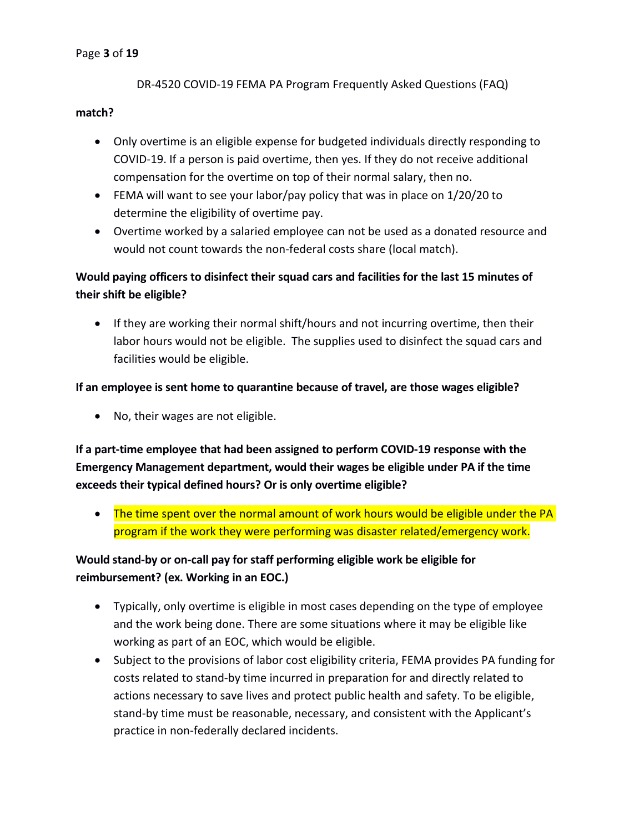#### Page **3** of **19**

DR-4520 COVID-19 FEMA PA Program Frequently Asked Questions (FAQ)

### **match?**

- Only overtime is an eligible expense for budgeted individuals directly responding to COVID-19. If a person is paid overtime, then yes. If they do not receive additional compensation for the overtime on top of their normal salary, then no.
- FEMA will want to see your labor/pay policy that was in place on 1/20/20 to determine the eligibility of overtime pay.
- Overtime worked by a salaried employee can not be used as a donated resource and would not count towards the non-federal costs share (local match).

## **Would paying officers to disinfect their squad cars and facilities for the last 15 minutes of their shift be eligible?**

• If they are working their normal shift/hours and not incurring overtime, then their labor hours would not be eligible. The supplies used to disinfect the squad cars and facilities would be eligible.

### **If an employee is sent home to quarantine because of travel, are those wages eligible?**

• No, their wages are not eligible.

**If a part-time employee that had been assigned to perform COVID-19 response with the Emergency Management department, would their wages be eligible under PA if the time exceeds their typical defined hours? Or is only overtime eligible?**

• The time spent over the normal amount of work hours would be eligible under the PA program if the work they were performing was disaster related/emergency work.

## **Would stand-by or on-call pay for staff performing eligible work be eligible for reimbursement? (ex. Working in an EOC.)**

- Typically, only overtime is eligible in most cases depending on the type of employee and the work being done. There are some situations where it may be eligible like working as part of an EOC, which would be eligible.
- Subject to the provisions of labor cost eligibility criteria, FEMA provides PA funding for costs related to stand-by time incurred in preparation for and directly related to actions necessary to save lives and protect public health and safety. To be eligible, stand-by time must be reasonable, necessary, and consistent with the Applicant's practice in non-federally declared incidents.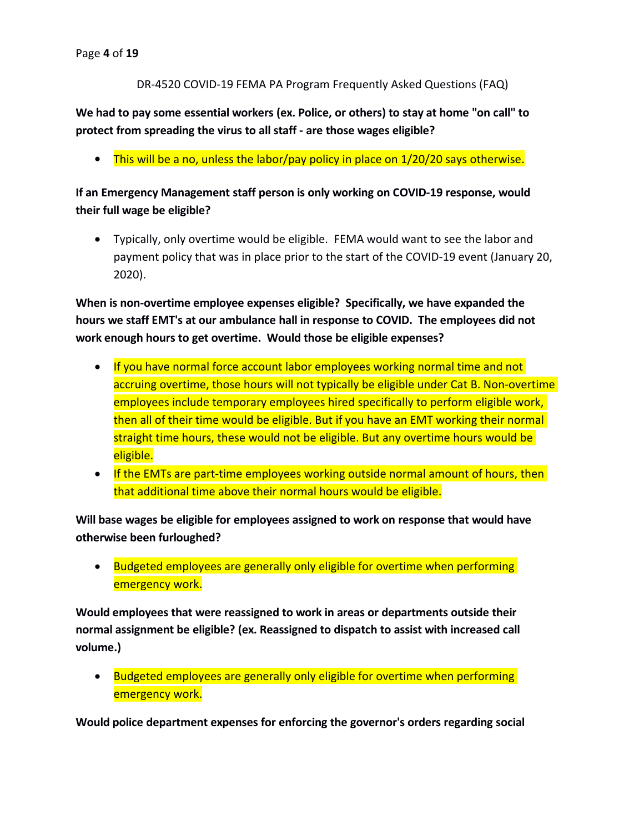**We had to pay some essential workers (ex. Police, or others) to stay at home "on call" to protect from spreading the virus to all staff - are those wages eligible?**

This will be a no, unless the labor/pay policy in place on 1/20/20 says otherwise.

# **If an Emergency Management staff person is only working on COVID-19 response, would their full wage be eligible?**

 Typically, only overtime would be eligible. FEMA would want to see the labor and payment policy that was in place prior to the start of the COVID-19 event (January 20, 2020).

**When is non-overtime employee expenses eligible? Specifically, we have expanded the hours we staff EMT's atour ambulance hall in response to COVID. The employees did not work enough hoursto get overtime. Would those be eligible expenses?**

- If you have normal force account labor employees working normal time and not accruing overtime, those hours will not typically be eligible under Cat B. Non-overtime employees include temporary employees hired specifically to perform eligible work, then all of their time would be eligible. But if you have an EMT working their normal straight time hours, these would not be eligible. But any overtime hours would be eligible.
- If the EMTs are part-time employees working outside normal amount of hours, then that additional time above their normal hours would be eligible.

**Will base wages be eligible for employees assigned to work on response that would have otherwise been furloughed?**

• Budgeted employees are generally only eligible for overtime when performing emergency work.

**Would employees that were reassigned to work in areas or departments outside their normal assignment be eligible? (ex. Reassigned to dispatch to assist with increased call volume.)**

• Budgeted employees are generally only eligible for overtime when performing emergency work.

**Would police department expenses for enforcing the governor's orders regarding social**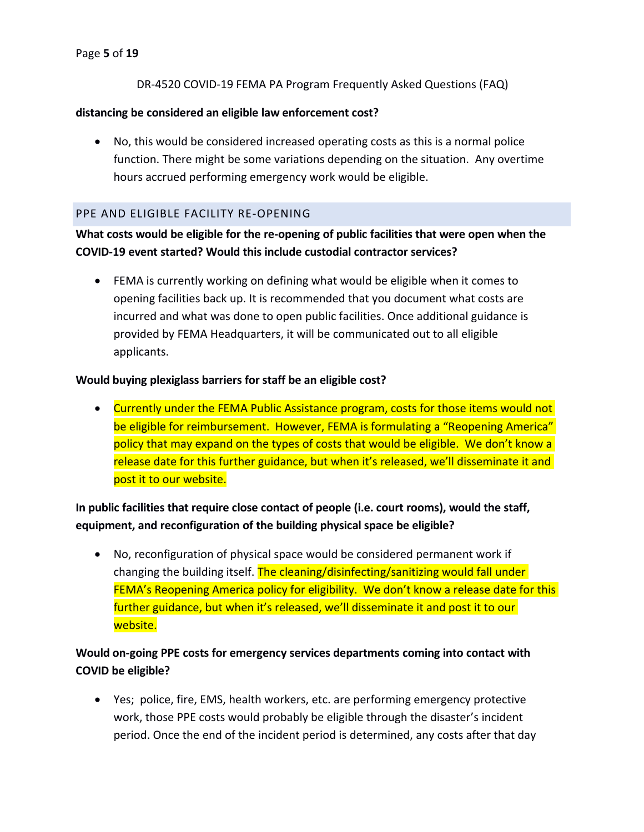### **distancing be considered an eligible law enforcement cost?**

 No, this would be considered increased operating costs as this is a normal police function. There might be some variations depending on the situation. Any overtime hours accrued performing emergency work would be eligible.

### PPE AND ELIGIBLE FACILITY RE-OPENING

# **What costs would be eligible for the re-opening of public facilities that were open when the COVID-19 event started? Would this include custodial contractor services?**

 FEMA is currently working on defining what would be eligible when it comes to opening facilities back up. It is recommended that you document what costs are incurred and what was done to open public facilities. Once additional guidance is provided by FEMA Headquarters, it will be communicated out to all eligible applicants.

### **Would buying plexiglass barriers for staff be an eligible cost?**

• Currently under the FEMA Public Assistance program, costs for those items would not be eligible for reimbursement. However, FEMA is formulating a "Reopening America" policy that may expand on the types of costs that would be eligible. We don't know a release date for this further guidance, but when it's released, we'll disseminate it and post it to our website.

# **In public facilities that require close contact of people (i.e. court rooms), would the staff, equipment, and reconfiguration of the building physical space be eligible?**

 No, reconfiguration of physical space would be considered permanent work if changing the building itself. The cleaning/disinfecting/sanitizing would fall under FEMA's Reopening America policy for eligibility. We don't know a release date for this further guidance, but when it's released, we'll disseminate it and post it to our website.

# **Would on-going PPE costs for emergency services departments coming into contact with COVID be eligible?**

 Yes; police, fire, EMS, health workers, etc. are performing emergency protective work, those PPE costs would probably be eligible through the disaster's incident period. Once the end of the incident period is determined, any costs after that day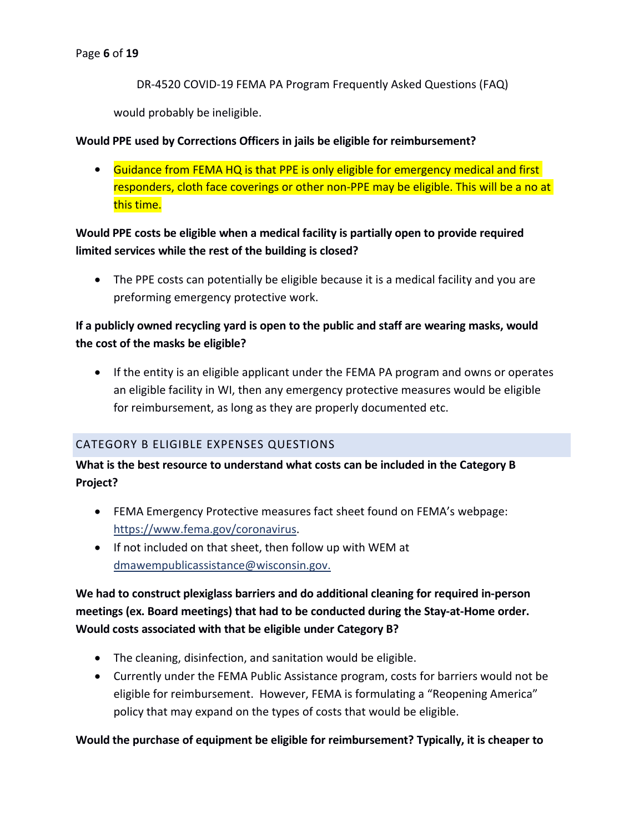would probably be ineligible.

### **Would PPE used byCorrections Officers in jails be eligible for reimbursement?**

• Guidance from FEMA HQ is that PPE is only eligible for emergency medical and first responders, cloth face coverings or other non-PPE may be eligible. This will be a no at this time.

# **Would PPE costs be eligible when a medical facility is partially open to provide required limited services while the rest of the building is closed?**

 The PPE costs can potentially be eligible because it is a medical facility and you are preforming emergency protective work.

# **If a publicly owned recycling yard is open to the public and staff are wearing masks, would the cost of the masks be eligible?**

 If the entity is an eligible applicant under the FEMA PA program and owns or operates an eligible facility in WI, then any emergency protective measures would be eligible for reimbursement, as long as they are properly documented etc.

## CATEGORY B ELIGIBLE EXPENSES QUESTIONS

# **What is the best resource to understand what costs can be included in the Category B Project?**

- FEMA Emergency Protective measures fact sheet found on FEMA's webpage: [https://www.fema.gov/coronavirus.](https://www.fema.gov/coronavirus)
- If not included on that sheet, then follow up with WEM at [dmawempublicassistance@wisconsin.gov.](mailto:dmawempublicassistance@wisconsin.gov)

# **We had to construct plexiglass barriers and do additional cleaning for required in-person meetings (ex. Board meetings)that had to be conducted during the Stay-at-Home order. Would costs associated with that be eligible under Category B?**

- The cleaning, disinfection, and sanitation would be eligible.
- Currently under the FEMA Public Assistance program, costs for barriers would not be eligible for reimbursement. However, FEMA is formulating a "Reopening America" policy that may expand on the types of costs that would be eligible.

## **Would the purchase of equipment be eligible for reimbursement? Typically, it is cheaper to**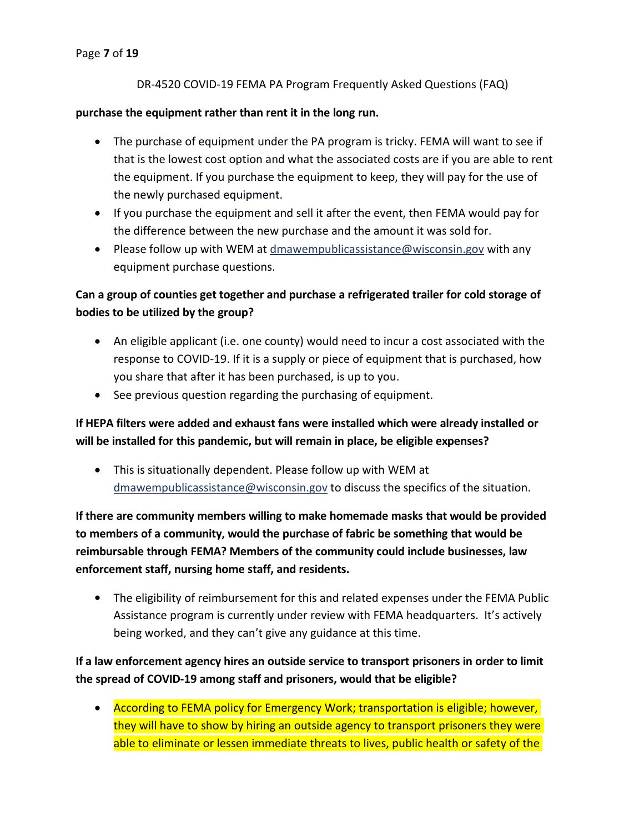### **purchase the equipment rather than rent it in the long run.**

- The purchase of equipment under the PA program is tricky. FEMA will want to see if that is the lowest cost option and what the associated costs are if you are able to rent the equipment. If you purchase the equipment to keep, they will pay for the use of the newly purchased equipment.
- If you purchase the equipment and sell it after the event, then FEMA would pay for the difference between the new purchase and the amount it was sold for.
- Please follow up with WEM at [dmawempublicassistance@wisconsin.gov](mailto:dmawempublicassistance@wisconsin.gov) with any equipment purchase questions.

# **Can a group of counties get together and purchase a refrigerated trailer for cold storage of bodies to be utilized bythe group?**

- An eligible applicant (i.e. one county) would need to incur a cost associated with the response to COVID-19. If it is a supply or piece of equipment that is purchased, how you share that after it has been purchased, is up to you.
- See previous question regarding the purchasing of equipment.

# **If HEPA filters were added and exhaust fans were installed which were already installed or will be installed for this pandemic, but will remain in place, be eligible expenses?**

 This is situationally dependent. Please follow up with WEM at [dmawempublicassistance@wisconsin.gov](mailto:dmawempublicassistance@wisconsin.gov) to discuss the specifics of the situation.

**If there are community members willing to make homemade masks that would be provided to members of a community, would the purchase of fabric be something that would be reimbursable through FEMA? Members of the community could include businesses, law enforcement staff, nursing home staff, and residents.**

 The eligibility of reimbursement for this and related expenses under the FEMA Public Assistance program is currently under review with FEMA headquarters. It's actively being worked, and they can't give any guidance at this time.

# **If a law enforcement agency hires an outside service to transport prisoners in order to limit the spread of COVID-19 among staff and prisoners, would that be eligible?**

• According to FEMA policy for Emergency Work; transportation is eligible; however, they will have to show by hiring an outside agency to transport prisoners they were able to eliminate or lessen immediate threats to lives, public health or safety of the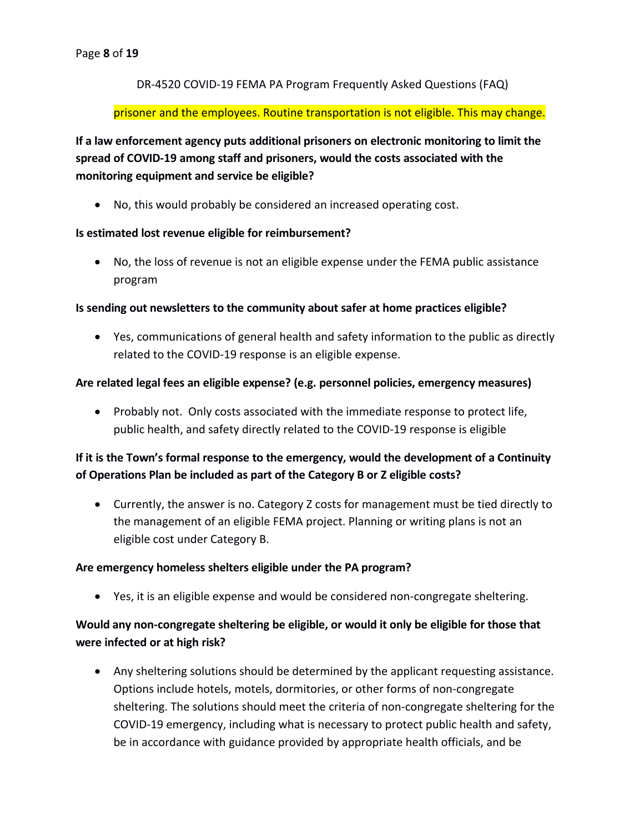### prisoner and the employees. Routine transportation is not eligible. This may change.

# **If a law enforcement agency puts additional prisoners on electronic monitoring to limit the spread of COVID-19 among staff and prisoners, would the costs associated with the monitoring equipment and service be eligible?**

No, this would probably be considered an increased operating cost.

### **Is estimated lost revenue eligible for reimbursement?**

 No, the loss of revenue is not an eligible expense under the FEMA public assistance program

#### **Is sending out newsletters to the community about safer at home practices eligible?**

 Yes, communications of general health and safety information to the public as directly related to the COVID-19 response is an eligible expense.

#### **Are related legal fees an eligible expense? (e.g. personnel policies, emergency measures)**

• Probably not. Only costs associated with the immediate response to protect life, public health, and safety directly related to the COVID-19 response is eligible

## **If it is the Town's formalresponse to the emergency, would the development of a Continuity of Operations Plan be included as part of the Category B or Z eligible costs?**

 Currently, the answer is no. Category Z costs for management must be tied directly to the management of an eligible FEMA project. Planning or writing plans is not an eligible cost under Category B.

### **Are emergency homeless shelters eligible under the PA program?**

Yes, it is an eligible expense and would be considered non-congregate sheltering.

## **Would any non-congregate sheltering be eligible, or would it only be eligible for those that were infected or at high risk?**

 Any sheltering solutions should be determined by the applicant requesting assistance. Options include hotels, motels, dormitories, or other forms of non-congregate sheltering. The solutions should meet the criteria of non-congregate sheltering for the COVID-19 emergency, including what is necessary to protect public health and safety, be in accordance with guidance provided by appropriate health officials, and be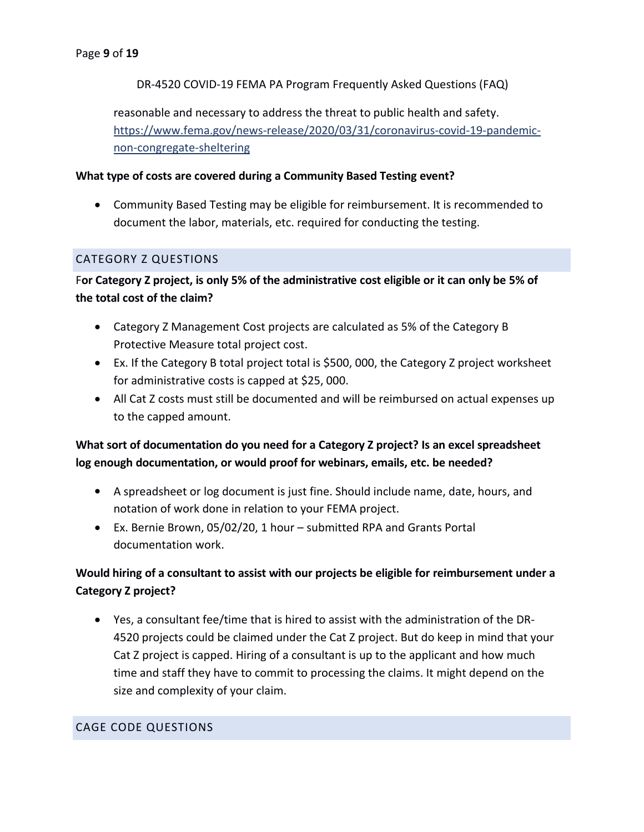reasonable and necessary to address the threat to public health and safety. [https://www.fema.gov/news-release/2020/03/31/coronavirus-covid-19-pandemic](https://www.fema.gov/news-release/2020/03/31/coronavirus-covid-19-pandemic-non-congregate-sheltering) non-congregate-sheltering

### **What type of costs are covered during a Community Based Testing event?**

 Community Based Testing may be eligible for reimbursement. It is recommended to document the labor, materials, etc. required for conducting the testing.

#### CATEGORY Z QUESTIONS

## For Category Z project, is only 5% of the administrative cost eligible or it can only be 5% of **the total cost of the claim?**

- Category Z Management Cost projects are calculated as 5% of the Category B Protective Measure total project cost.
- Ex. If the Category B total project total is \$500, 000, the Category Z project worksheet for administrative costs is capped at \$25, 000.
- All Cat Z costs must still be documented and will be reimbursed on actual expenses up to the capped amount.

## **What sort of documentation do you need for a Category Z project? Is an excel spreadsheet log enough documentation, or would proof for webinars, emails, etc. be needed?**

- A spreadsheet or log document is just fine. Should include name, date, hours, and notation of work done in relation to your FEMA project.
- Ex. Bernie Brown, 05/02/20, 1 hour submitted RPA and Grants Portal documentation work.

## **Would hiring of a consultant to assist with our projects be eligible for reimbursement under a Category Z project?**

 Yes, a consultant fee/time that is hired to assist with the administration of the DR- 4520 projects could be claimed under the Cat Z project. But do keep in mind that your Cat Z project is capped. Hiring of a consultant is up to the applicant and how much time and staff they have to commit to processing the claims. It might depend on the size and complexity of your claim.

### CAGE CODE QUESTIONS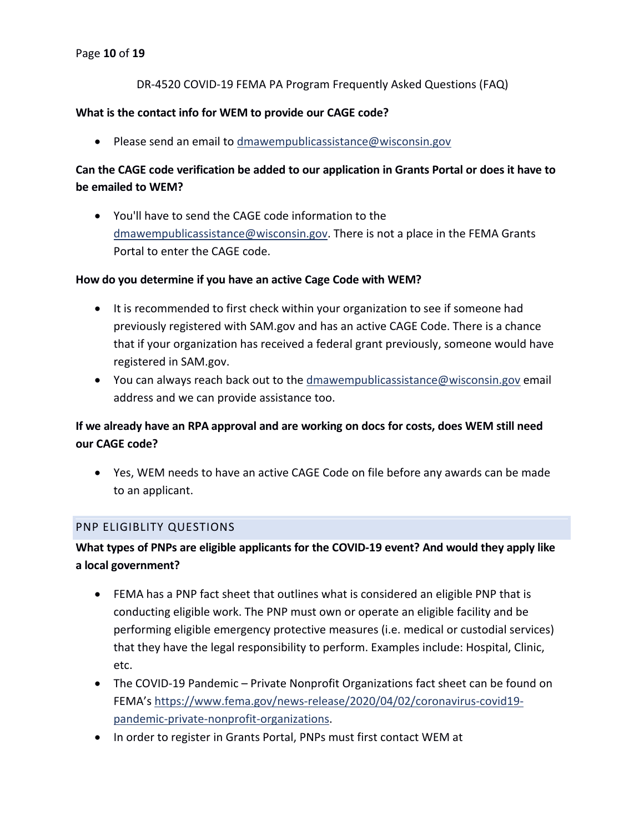#### Page **10** of **19**

DR-4520 COVID-19 FEMA PA Program Frequently Asked Questions (FAQ)

### **What is the contact info for WEM to provide our CAGE code?**

• Please send an email to [dmawempublicassistance@wisconsin.gov](mailto:dmawempublicassistance@wisconsin.gov)

# **Can the CAGE code verification be added to our application in Grants Portal or does it have to be emailed to WEM?**

 You'll have to send the CAGE code information to the [dmawempublicassistance@wisconsin.gov.](mailto:dmawempublicassistance@wisconsin.gov) There is not a place in the FEMA Grants Portal to enter the CAGE code.

### **How do you determine if you have an active Cage Code with WEM?**

- It is recommended to first check within your organization to see if someone had previously registered with SAM.gov and has an active CAGE Code. There is a chance that if your organization has received a federal grant previously, someone would have registered in SAM.gov.
- You can always reach back out to the [dmawempublicassistance@wisconsin.gov](mailto:dmawempublicassistance@wisconsin.gov) email address and we can provide assistance too.

## **If we already have an RPA approval and are working on docs for costs, does WEM still need our CAGE code?**

 Yes, WEM needs to have an active CAGE Code on file before any awards can be made to an applicant.

### PNP ELIGIBLITY QUESTIONS

# **What types of PNPs are eligible applicants for the COVID-19 event? And would they apply like a local government?**

- FEMA has a PNP fact sheet that outlines what is considered an eligible PNP that is conducting eligible work. The PNP must own or operate an eligible facility and be performing eligible emergency protective measures (i.e. medical or custodial services) that they have the legal responsibility to perform. Examples include: Hospital, Clinic, etc.
- The COVID-19 Pandemic Private Nonprofit Organizations fact sheet can be found on FEMA's [https://www.fema.gov/news-release/2020/04/02/coronavirus-covid19](https://www.fema.gov/news-release/2020/04/02/coronavirus-covid19-pandemic-private-nonprofit-organizations) pandemic-private-nonprofit-organizations.
- In order to register in Grants Portal, PNPs must first contact WEM at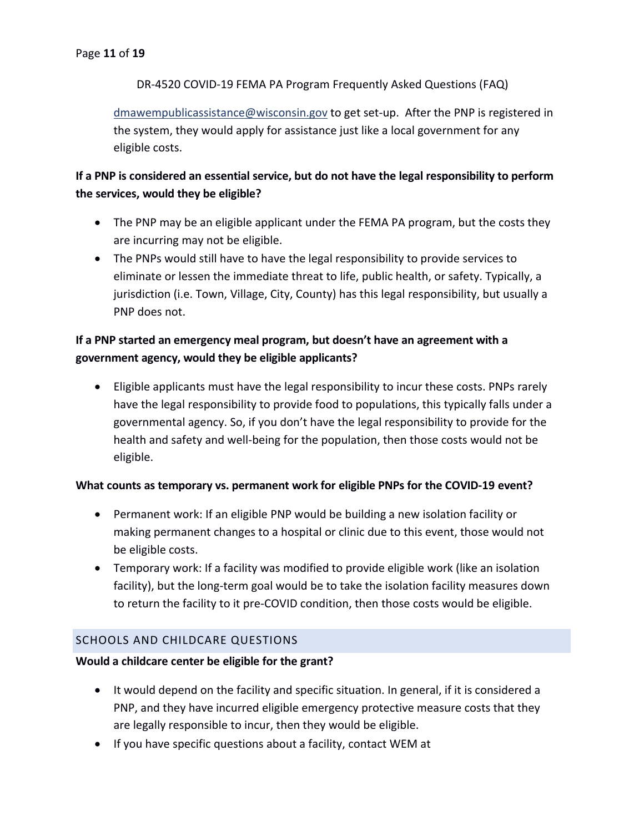[dmawempublicassistance@wisconsin.gov](mailto:dmawempublicassistance@wisconsin.gov) to get set-up. After the PNP is registered in the system, they would apply for assistance just like a local government for any eligible costs.

## **If a PNP is considered an essential service, but do not have the legal responsibility to perform the services, would they be eligible?**

- The PNP may be an eligible applicant under the FEMA PA program, but the costs they are incurring may not be eligible.
- The PNPs would still have to have the legal responsibility to provide services to eliminate or lessen the immediate threat to life, public health, or safety. Typically, a jurisdiction (i.e. Town, Village, City, County) has this legal responsibility, but usually a PNP does not.

## **If a PNP started an emergency meal program, but doesn't have an agreement with a government agency, would they be eligible applicants?**

 Eligible applicants must have the legal responsibility to incur these costs. PNPs rarely have the legal responsibility to provide food to populations, this typically falls under a governmental agency. So, if you don't have the legal responsibility to provide for the health and safety and well-being for the population, then those costs would not be eligible.

### **What counts as temporary vs. permanent work for eligible PNPs for the COVID-19 event?**

- Permanent work: If an eligible PNP would be building a new isolation facility or making permanent changes to a hospital or clinic due to this event, those would not be eligible costs.
- Temporary work: If a facility was modified to provide eligible work (like an isolation facility), but the long-term goal would be to take the isolation facility measures down to return the facility to it pre-COVID condition, then those costs would be eligible.

## SCHOOLS AND CHILDCARE QUESTIONS

### **Would a childcare centerbe eligible for the grant?**

- It would depend on the facility and specific situation. In general, if it is considered a PNP, and they have incurred eligible emergency protective measure costs that they are legally responsible to incur, then they would be eligible.
- If you have specific questions about a facility, contact WEM at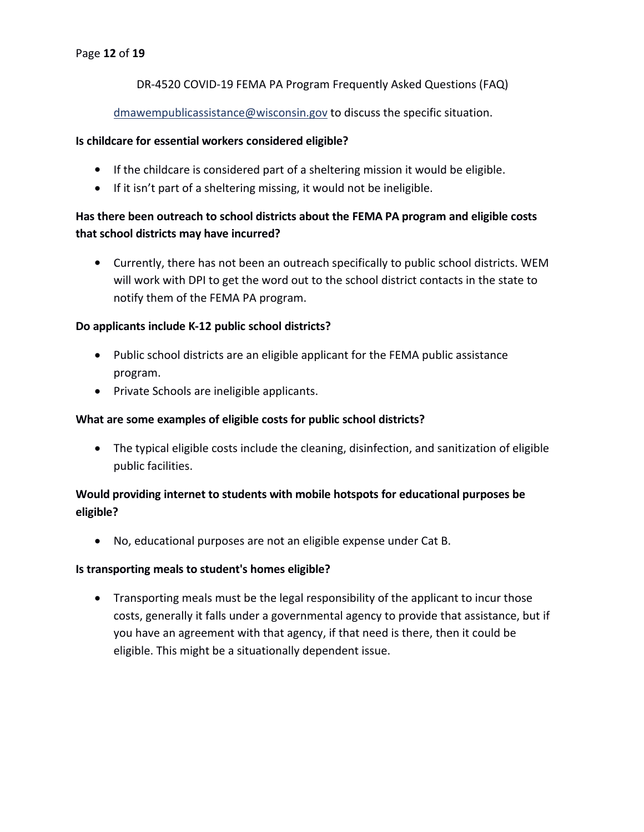[dmawempublicassistance@wisconsin.gov](mailto:dmawempublicassistance@wisconsin.gov) to discuss the specific situation.

### **Is childcare for essential workers considered eligible?**

- If the childcare is considered part of a sheltering mission it would be eligible.
- $\bullet$  If it isn't part of a sheltering missing, it would not be ineligible.

## **Has there been outreach to school districts about the FEMA PA program and eligible costs that school districts may have incurred?**

 Currently, there has not been an outreach specifically to public school districts. WEM will work with DPI to get the word out to the school district contacts in the state to notify them of the FEMA PA program.

### **Do applicants include K-12 public school districts?**

- Public school districts are an eligible applicant for the FEMA public assistance program.
- Private Schools are ineligible applicants.

### **What are some examples of eligible costs for public school districts?**

 The typical eligible costs include the cleaning, disinfection, and sanitization of eligible public facilities.

## **Would providing internet to students with mobile hotspots for educational purposes be eligible?**

No, educational purposes are not an eligible expense under Cat B.

### **Is transporting meals to student's homes eligible?**

 Transporting meals must be the legal responsibility of the applicant to incur those costs, generally it falls under a governmental agency to provide that assistance, but if you have an agreement with that agency, if that need is there, then it could be eligible. This might be a situationally dependent issue.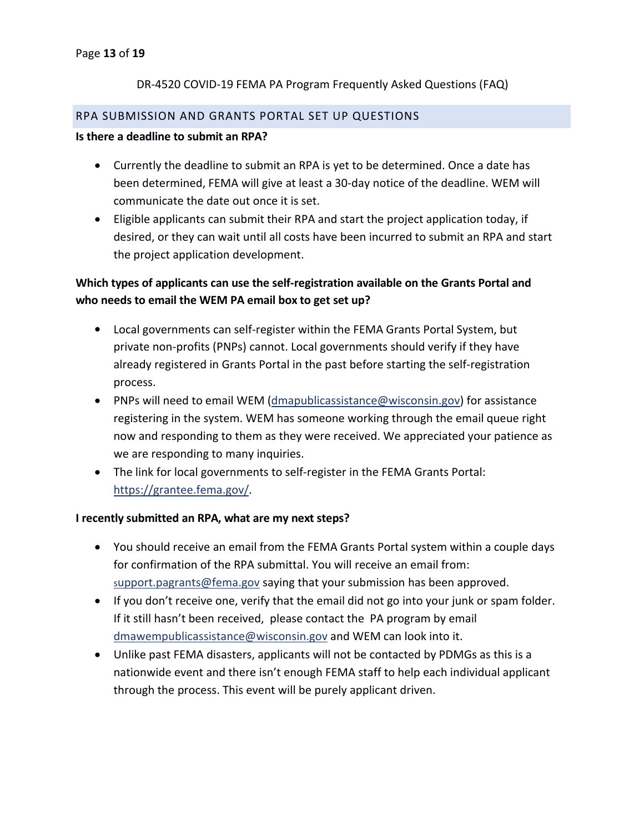### RPA SUBMISSION AND GRANTS PORTAL SET UP QUESTIONS

#### **Is there a deadline to submit an RPA?**

- Currently the deadline to submit an RPA is yet to be determined. Once a date has been determined, FEMA will give at least a 30-day notice of the deadline. WEM will communicate the date out once it is set.
- Eligible applicants can submit their RPA and start the project application today, if desired, or they can wait until all costs have been incurred to submit an RPA and start the project application development.

## **Which types of applicants can use the self-registration available on the Grants Portal and who needsto email the WEM PA email box to get set up?**

- Local governments can self-register within the FEMA Grants Portal System, but private non-profits (PNPs) cannot. Local governments should verify if they have already registered in Grants Portal in the past before starting the self-registration process.
- PNPs will need to email WEM [\(dmapublicassistance@wisconsin.gov\)](mailto:dmapublicassistance@wisconsin.gov) for assistance registering in the system. WEM has someone working through the email queue right now and responding to them as they were received. We appreciated your patience as we are responding to many inquiries.
- The link for local governments to self-register in the FEMA Grants Portal: [https://grantee.fema.gov/.](https://grantee.fema.gov/)

### **I recently submitted an RPA, what are my next steps?**

- You should receive an email from the FEMAGrants Portal system within a couple days for confirmation of the RPA submittal. You will receive an email from: s[upport.pagrants@fema.gov](mailto:support.pagrants@fema.gov) saying that your submission has been approved.
- If you don't receive one, verify that the email did not go into your junk or spam folder. If it still hasn't been received, please contact the PA program by email [dmawempublicassistance@wisconsin.gov](mailto:dmawempublicassistance@wisconsin.gov) and WEM can look into it.
- Unlike past FEMA disasters, applicants will not be contacted by PDMGs as this is a nationwide event and there isn't enough FEMA staff to help each individual applicant through the process.This event will be purely applicant driven.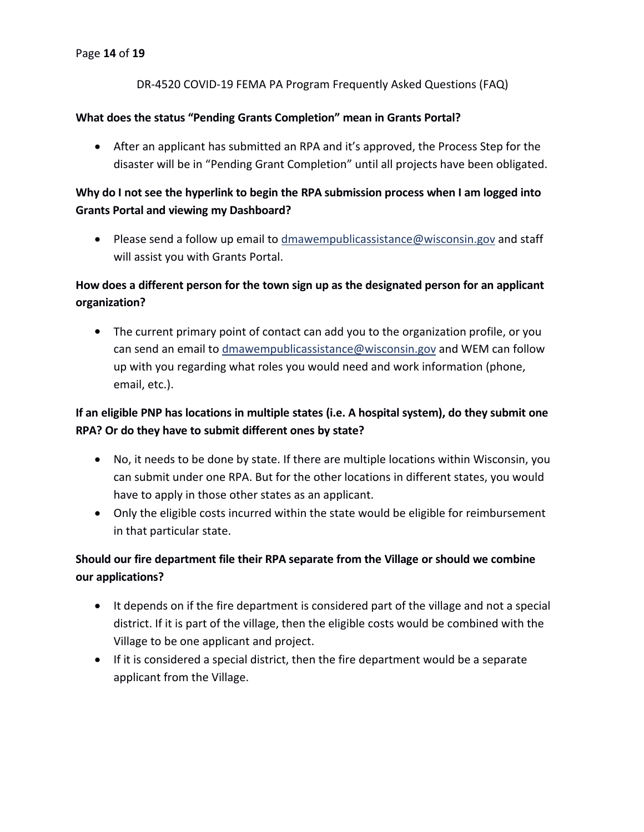### **What does the status "Pending Grants Completion" mean in Grants Portal?**

 After an applicant has submitted an RPA and it's approved, the Process Step for the disaster will be in "Pending Grant Completion" until all projects have been obligated.

## **Why do I not see the hyperlink to begin the RPA submission process when I am logged into Grants Portal and viewing my Dashboard?**

• Please send a follow up email to [dmawempublicassistance@wisconsin.gov](mailto:dmawempublicassistance@wisconsin.gov) and staff will assist you with Grants Portal.

# **How does a different person for the town sign up as the designated person for an applicant organization?**

 The current primary point of contact can add you to the organization profile, or you can send an email to [dmawempublicassistance@wisconsin.gov](mailto:dmawempublicassistance@wisconsin.gov) and WEM can follow up with you regarding what roles you would need and work information (phone, email, etc.).

# **If an eligible PNP has locations in multiple states (i.e.A hospital system), do they submit one RPA? Or do they have to submit different ones by state?**

- No, it needs to be done by state. If there are multiple locations within Wisconsin, you can submit under one RPA. But for the other locations in different states, you would have to apply in those other states as an applicant.
- Only the eligible costs incurred within the state would be eligible for reimbursement in that particular state.

# **Should our fire department file their RPA separate from the Village or should we combine our applications?**

- It depends on if the fire department is considered part of the village and not a special district. If it is part of the village, then the eligible costs would be combined with the Village to be one applicant and project.
- If it is considered a special district, then the fire department would be a separate applicant from the Village.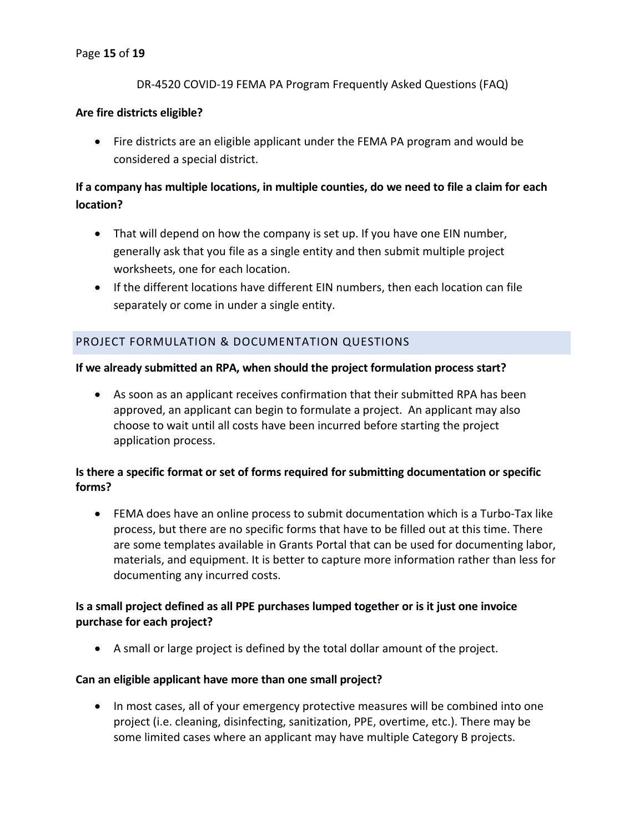### **Are fire districts eligible?**

 Fire districts are an eligible applicant under the FEMA PA program and would be considered a special district.

## **If a company has multiple locations, in multiple counties, do we need to file a claim for each location?**

- That will depend on how the company is set up. If you have one EIN number, generally ask that you file as a single entity and then submit multiple project worksheets, one for each location.
- If the different locations have different EIN numbers, then each location can file separately or come in under a single entity.

### PROJECT FORMULATION & DOCUMENTATION QUESTIONS

### **If we already submitted an RPA, when should the project formulation process start?**

 As soon as an applicant receives confirmation that their submitted RPA has been approved, an applicant can begin to formulate a project. An applicant may also choose to wait until all costs have been incurred before starting the project application process.

## **Is there a specific format or set of forms required for submitting documentation or specific forms?**

 FEMA does have an online process to submit documentation which is a Turbo-Tax like process, but there are no specific forms that have to be filled out at this time. There are some templates available in Grants Portal that can be used for documenting labor, materials, and equipment. It is better to capture more information rather than less for documenting any incurred costs.

### **Is a small project defined as all PPE purchases lumped together or is it just one invoice purchase for each project?**

A small or large projectis defined by the total dollar amount of the project.

### **Can an eligible applicant have more than one small project?**

• In most cases, all of your emergency protective measures will be combined into one project (i.e. cleaning, disinfecting, sanitization, PPE, overtime, etc.). There may be some limited cases where an applicant may have multiple Category B projects.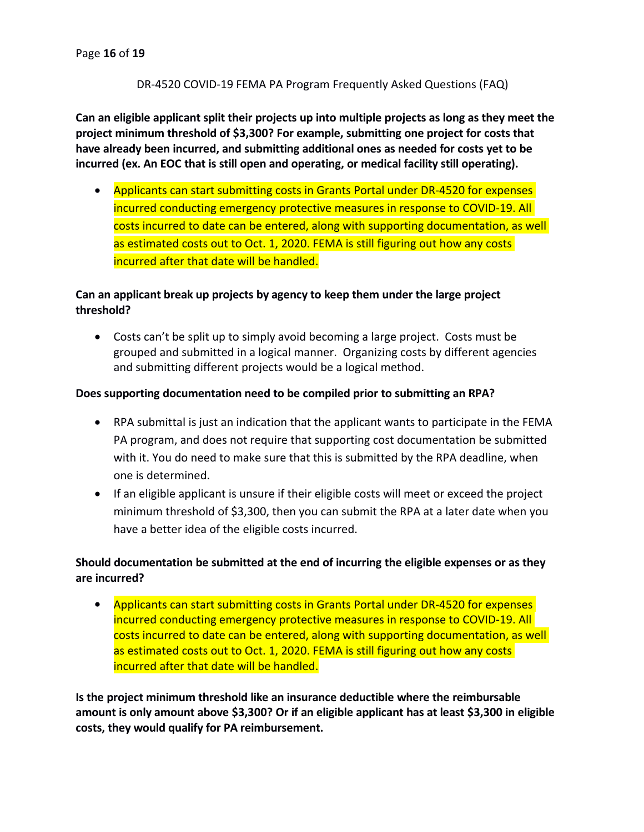**Can an eligible applicant split their projects up into multiple projects as long as they meet the project minimum threshold of \$3,300? For example, submitting one project for costs that have already been incurred, and submitting additionalones as needed for costs yet to be incurred (ex. An EOC that is still open and operating, or medical facility still operating).**

• Applicants can start submitting costs in Grants Portal under DR-4520 for expenses incurred conducting emergency protective measures in response to COVID-19. All costs incurred to date can be entered, along with supporting documentation, as well as estimated costs out to Oct. 1, 2020. FEMA is still figuring out how any costs incurred after that date will be handled.

## **Can an applicant break up projects by agency to keep them under the large project threshold?**

 Costs can't be split up to simply avoid becoming a large project. Costs must be grouped and submitted in a logical manner. Organizing costs by different agencies and submitting different projects would be a logical method.

### **Does supporting documentation need to be compiled prior to submitting an RPA?**

- RPA submittal is just an indication that the applicant wants to participate in the FEMA PA program, and does not require that supporting cost documentation be submitted with it. You do need to make sure that this is submitted by the RPA deadline, when one is determined.
- If an eligible applicant is unsure if their eligible costs will meet or exceed the project minimum threshold of \$3,300, then you can submit the RPA at a later date when you have a better idea of the eligible costs incurred.

## **Should documentation be submitted at the end of incurring the eligible expenses or as they are incurred?**

• Applicants can start submitting costs in Grants Portal under DR-4520 for expenses incurred conducting emergency protective measures in response to COVID-19. All costs incurred to date can be entered, along with supporting documentation, as well as estimated costs out to Oct. 1, 2020. FEMA is still figuring out how any costs incurred after that date will be handled.

**Is the project minimum threshold like an insurance deductible where the reimbursable amount is only amount above \$3,300? Or if an eligible applicant has at least \$3,300 in eligible costs, they would qualify for PA reimbursement.**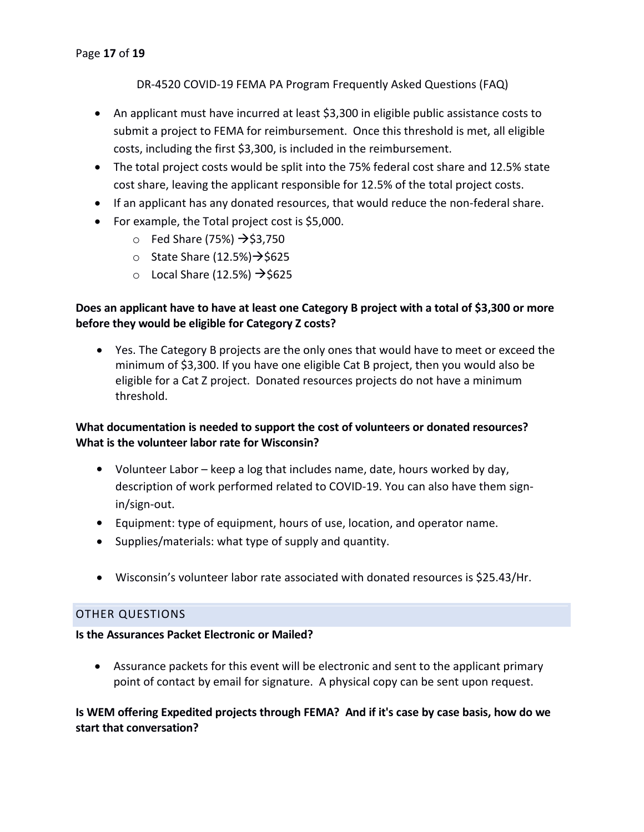- An applicant must have incurred at least \$3,300 in eligible public assistance costs to submit a project to FEMA for reimbursement. Once this threshold is met, all eligible costs, including the first \$3,300, is included in the reimbursement.
- The total project costs would be split into the 75% federal cost share and 12.5% state cost share, leaving the applicant responsible for 12.5% of the total project costs.
- If an applicant has any donated resources, that would reduce the non-federal share.
- For example, the Total project cost is \$5,000.
	- $\circ$  Fed Share (75%)  $\rightarrow$  \$3,750
	- o State Share  $(12.5%) \rightarrow $625$
	- o Local Share (12.5%)  $\rightarrow$  \$625

### Does an applicant have to have at least one Category B project with a total of \$3,300 or more **before they would be eligible for Category Z costs?**

 Yes. The Category B projects are the only ones that would have to meet or exceed the minimum of \$3,300. If you have one eligible Cat B project, then you would also be eligible for a Cat Z project. Donated resources projects do not have a minimum threshold.

## **What documentation is needed to support the cost of volunteers or donated resources? What is the volunteer labor rate for Wisconsin?**

- Volunteer Labor keep a log that includes name, date, hours worked by day, description of work performed related to COVID-19. You can also have them signin/sign-out.
- Equipment: type of equipment, hours of use, location, and operator name.
- Supplies/materials: what type of supply and quantity.
- Wisconsin's volunteer labor rate associated with donated resources is \$25.43/Hr.

### OTHER QUESTIONS

### **Is the Assurances Packet Electronic or Mailed?**

 Assurance packets for this event will be electronic and sent to the applicant primary point of contact by email for signature. A physical copy can be sent upon request.

## **Is WEM offering Expedited projects through FEMA? And ifit's case by case basis, how do we start that conversation?**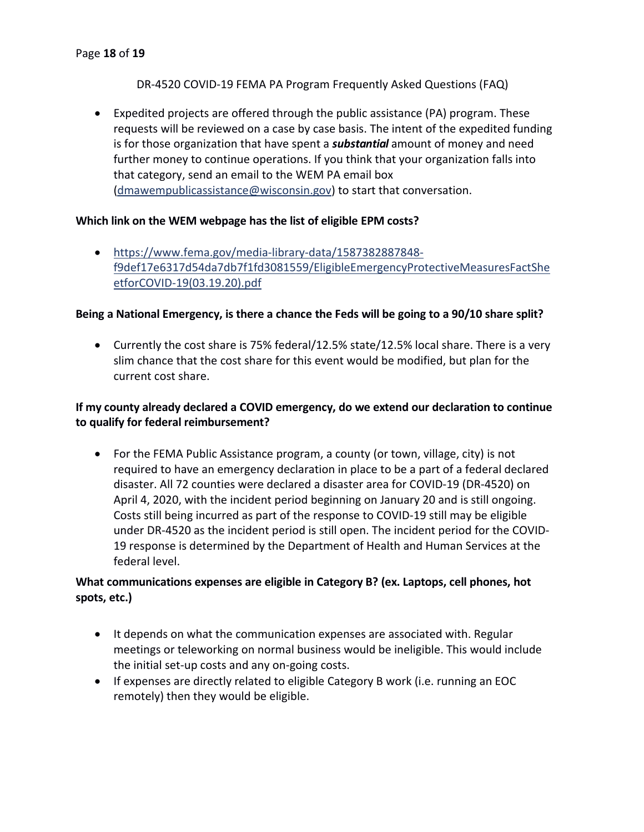#### Page **18** of **19**

DR-4520 COVID-19 FEMA PA Program Frequently Asked Questions (FAQ)

 Expedited projects are offered through the public assistance (PA) program. These requests will be reviewed on a case by case basis. The intent of the expedited funding is for those organization that have spent a *substantial* amount of money and need further money to continue operations. If you think that your organization falls into that category, send an email to the WEM PA email box ([dmawempublicassistance@wisconsin.gov](mailto:dmawempublicassistance@wisconsin.gov)) to start that conversation.

### **Which link on the WEM webpage has the list of eligible EPM costs?**

 [https://www.fema.gov/media-library-data/1587382887848](https://www.fema.gov/media-library-data/1587382887848-f9def17e6317d54da7db7f1fd3081559/EligibleEmergencyProtectiveMeasuresFactSheetforCOVID-19(03.19.20).pdf) f9def17e6317d54da7db7f1fd3081559/EligibleEmergencyProtectiveMeasuresFactShe etforCOVID-19(03.19.20).pdf

### **Being a National Emergency, is there a chance the Feds will be going to a 90/10 share split?**

 Currently the cost share is 75% federal/12.5% state/12.5% local share. There is a very slim chance that the cost share for this event would be modified, but plan for the current cost share.

## **If my county already declared a COVID emergency, do we extend our declaration to continue to qualify for federal reimbursement?**

• For the FEMA Public Assistance program, a county (or town, village, city) is not required to have an emergency declaration in place to be a part of a federal declared disaster. All 72 counties were declared a disaster area for COVID-19 (DR-4520) on April 4, 2020, with the incident period beginning on January 20 and is still ongoing. Costs still being incurred as part of the response to COVID-19 still may be eligible under DR-4520 as the incident period is still open. The incident period for the COVID- 19 response is determined by the Department of Health and Human Services at the federal level.

## **What communications expenses are eligible in Category B? (ex. Laptops, cell phones, hot spots, etc.)**

- It depends on what the communication expenses are associated with. Regular meetings or teleworking on normal business would be ineligible. This would include the initial set-up costs and any on-going costs.
- If expenses are directly related to eligible Category B work (i.e. running an EOC remotely) then they would be eligible.